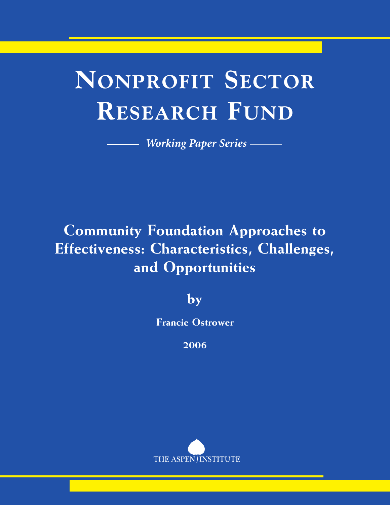# **NONPROFIT SECTOR RESEARCH FUND**

*Working Paper Series*

## **Community Foundation Approaches to Effectiveness: Characteristics, Challenges, and Opportunities**

**by**

**Francie Ostrower**

**2006**

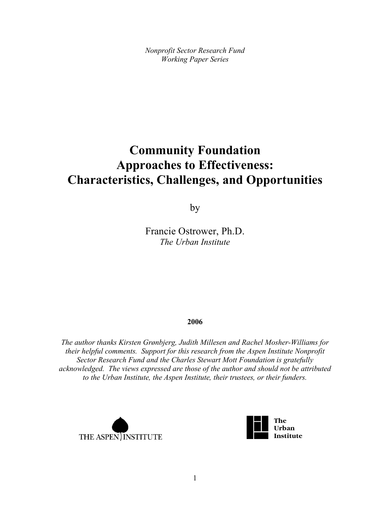*Nonprofit Sector Research Fund Working Paper Series*

### **Community Foundation Approaches to Effectiveness: Characteristics, Challenges, and Opportunities**

by

Francie Ostrower, Ph.D. *The Urban Institute*

#### **2006**

*The author thanks Kirsten Grønbjerg, Judith Millesen and Rachel Mosher-Williams for their helpful comments. Support for this research from the Aspen Institute Nonprofit Sector Research Fund and the Charles Stewart Mott Foundation is gratefully acknowledged. The views expressed are those of the author and should not be attributed to the Urban Institute, the Aspen Institute, their trustees, or their funders.*



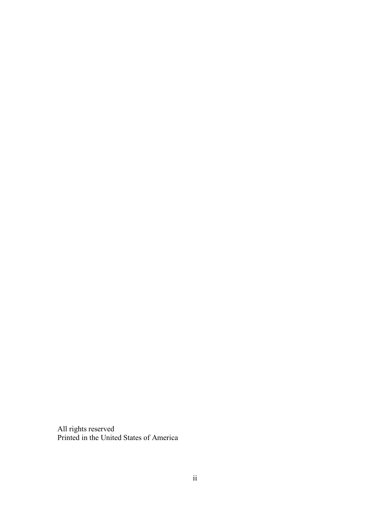All rights reserved Printed in the United States of America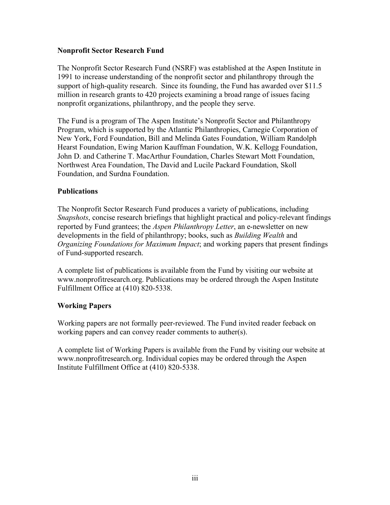#### **Nonprofit Sector Research Fund**

The Nonprofit Sector Research Fund (NSRF) was established at the Aspen Institute in 1991 to increase understanding of the nonprofit sector and philanthropy through the support of high-quality research. Since its founding, the Fund has awarded over \$11.5 million in research grants to 420 projects examining a broad range of issues facing nonprofit organizations, philanthropy, and the people they serve.

The Fund is a program of The Aspen Institute's Nonprofit Sector and Philanthropy Program, which is supported by the Atlantic Philanthropies, Carnegie Corporation of New York, Ford Foundation, Bill and Melinda Gates Foundation, William Randolph Hearst Foundation, Ewing Marion Kauffman Foundation, W.K. Kellogg Foundation, John D. and Catherine T. MacArthur Foundation, Charles Stewart Mott Foundation, Northwest Area Foundation, The David and Lucile Packard Foundation, Skoll Foundation, and Surdna Foundation.

#### **Publications**

The Nonprofit Sector Research Fund produces a variety of publications, including *Snapshots*, concise research briefings that highlight practical and policy-relevant findings reported by Fund grantees; the *Aspen Philanthropy Letter*, an e-newsletter on new developments in the field of philanthropy; books, such as *Building Wealth* and *Organizing Foundations for Maximum Impact*; and working papers that present findings of Fund-supported research.

A complete list of publications is available from the Fund by visiting our website at www.nonprofitresearch.org. Publications may be ordered through the Aspen Institute Fulfillment Office at (410) 820-5338.

#### **Working Papers**

Working papers are not formally peer-reviewed. The Fund invited reader feeback on working papers and can convey reader comments to auther(s).

A complete list of Working Papers is available from the Fund by visiting our website at www.nonprofitresearch.org. Individual copies may be ordered through the Aspen Institute Fulfillment Office at (410) 820-5338.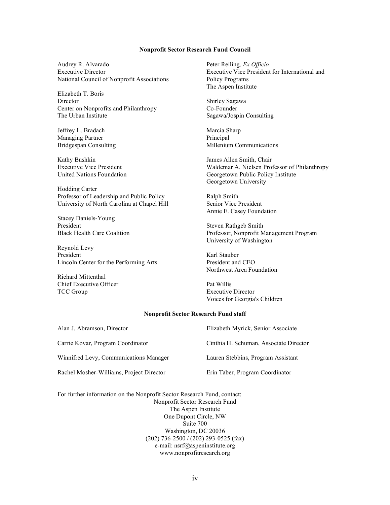#### **Nonprofit Sector Research Fund Council**

Audrey R. Alvarado Executive Director National Council of Nonprofit Associations

Elizabeth T. Boris Director Center on Nonprofits and Philanthropy The Urban Institute

Jeffrey L. Bradach Managing Partner Bridgespan Consulting

Kathy Bushkin Executive Vice President United Nations Foundation

Hodding Carter Professor of Leadership and Public Policy University of North Carolina at Chapel Hill

Stacey Daniels-Young President Black Health Care Coalition

Reynold Levy President Lincoln Center for the Performing Arts

Richard Mittenthal Chief Executive Officer TCC Group

Peter Reiling, *Ex Officio* Executive Vice President for International and Policy Programs The Aspen Institute

Shirley Sagawa Co-Founder Sagawa/Jospin Consulting

Marcia Sharp Principal Millenium Communications

James Allen Smith, Chair Waldemar A. Nielsen Professor of Philanthropy Georgetown Public Policy Institute Georgetown University

Ralph Smith Senior Vice President Annie E. Casey Foundation

Steven Rathgeb Smith Professor, Nonprofit Management Program University of Washington

Karl Stauber President and CEO Northwest Area Foundation

Pat Willis Executive Director Voices for Georgia's Children

#### **Nonprofit Sector Research Fund staff**

| Alan J. Abramson, Director               | Elizabeth Myrick, Senior Associate     |
|------------------------------------------|----------------------------------------|
| Carrie Kovar, Program Coordinator        | Cinthia H. Schuman, Associate Director |
| Winnifred Levy, Communications Manager   | Lauren Stebbins, Program Assistant     |
| Rachel Mosher-Williams, Project Director | Erin Taber, Program Coordinator        |

For further information on the Nonprofit Sector Research Fund, contact: Nonprofit Sector Research Fund The Aspen Institute One Dupont Circle, NW Suite 700 Washington, DC 20036 (202) 736-2500 / (202) 293-0525 (fax) e-mail: nsrf@aspeninstitute.org www.nonprofitresearch.org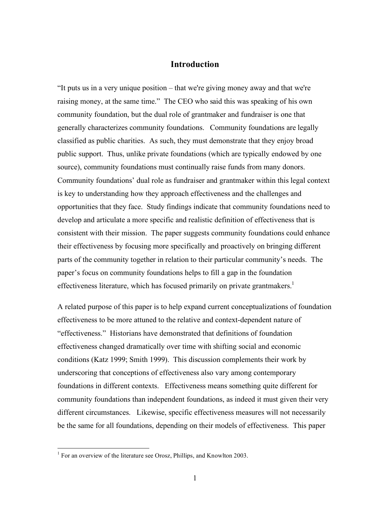#### **Introduction**

"It puts us in a very unique position – that we're giving money away and that we're raising money, at the same time." The CEO who said this was speaking of his own community foundation, but the dual role of grantmaker and fundraiser is one that generally characterizes community foundations. Community foundations are legally classified as public charities. As such, they must demonstrate that they enjoy broad public support. Thus, unlike private foundations (which are typically endowed by one source), community foundations must continually raise funds from many donors. Community foundations' dual role as fundraiser and grantmaker within this legal context is key to understanding how they approach effectiveness and the challenges and opportunities that they face. Study findings indicate that community foundations need to develop and articulate a more specific and realistic definition of effectiveness that is consistent with their mission. The paper suggests community foundations could enhance their effectiveness by focusing more specifically and proactively on bringing different parts of the community together in relation to their particular community's needs. The paper's focus on community foundations helps to fill a gap in the foundation effectiveness literature, which has focused primarily on private grantmakers.<sup>1</sup>

A related purpose of this paper is to help expand current conceptualizations of foundation effectiveness to be more attuned to the relative and context-dependent nature of "effectiveness." Historians have demonstrated that definitions of foundation effectiveness changed dramatically over time with shifting social and economic conditions (Katz 1999; Smith 1999). This discussion complements their work by underscoring that conceptions of effectiveness also vary among contemporary foundations in different contexts. Effectiveness means something quite different for community foundations than independent foundations, as indeed it must given their very different circumstances. Likewise, specific effectiveness measures will not necessarily be the same for all foundations, depending on their models of effectiveness. This paper

<sup>&</sup>lt;sup>1</sup> For an overview of the literature see Orosz, Phillips, and Knowlton 2003.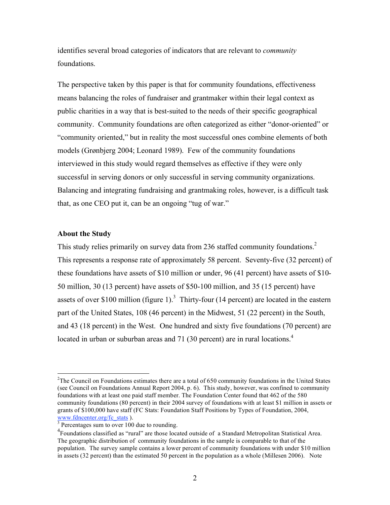identifies several broad categories of indicators that are relevant to *community* foundations.

The perspective taken by this paper is that for community foundations, effectiveness means balancing the roles of fundraiser and grantmaker within their legal context as public charities in a way that is best-suited to the needs of their specific geographical community. Community foundations are often categorized as either "donor-oriented" or "community oriented," but in reality the most successful ones combine elements of both models (Grønbjerg 2004; Leonard 1989). Few of the community foundations interviewed in this study would regard themselves as effective if they were only successful in serving donors or only successful in serving community organizations. Balancing and integrating fundraising and grantmaking roles, however, is a difficult task that, as one CEO put it, can be an ongoing "tug of war."

#### **About the Study**

This study relies primarily on survey data from 236 staffed community foundations.<sup>2</sup> This represents a response rate of approximately 58 percent. Seventy-five (32 percent) of these foundations have assets of \$10 million or under, 96 (41 percent) have assets of \$10- 50 million, 30 (13 percent) have assets of \$50-100 million, and 35 (15 percent) have assets of over \$100 million (figure 1).<sup>3</sup> Thirty-four (14 percent) are located in the eastern part of the United States, 108 (46 percent) in the Midwest, 51 (22 percent) in the South, and 43 (18 percent) in the West. One hundred and sixty five foundations (70 percent) are located in urban or suburban areas and 71 (30 percent) are in rural locations.<sup>4</sup>

 $\frac{1}{2}$  $2$ The Council on Foundations estimates there are a total of 650 community foundations in the United States (see Council on Foundations Annual Report 2004, p. 6). This study, however, was confined to community foundations with at least one paid staff member. The Foundation Center found that 462 of the 580 community foundations (80 percent) in their 2004 survey of foundations with at least \$1 million in assets or grants of \$100,000 have staff (FC Stats: Foundation Staff Positions by Types of Foundation, 2004, www.fdncenter.org/fc\_stats ).<br> $3$  Percentages sum to over 100 due to rounding.

<sup>&</sup>lt;sup>4</sup> Foundations classified as "rural" are those located outside of a Standard Metropolitan Statistical Area. The geographic distribution of community foundations in the sample is comparable to that of the population. The survey sample contains a lower percent of community foundations with under \$10 million in assets (32 percent) than the estimated 50 percent in the population as a whole (Millesen 2006). Note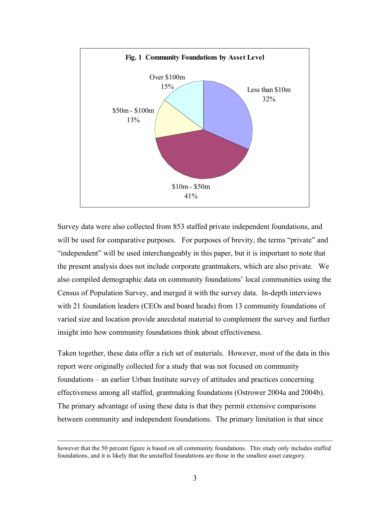

Survey data were also collected from 853 staffed private independent foundations, and will be used for comparative purposes. For purposes of brevity, the terms "private" and "independent" will be used interchangeably in this paper, but it is important to note that the present analysis does not include corporate grantmakers, which are also private. We also compiled demographic data on community foundations' local communities using the Census of Population Survey, and merged it with the survey data. In-depth interviews with 21 foundation leaders (CEOs and board heads) from 13 community foundations of varied size and location provide anecdotal material to complement the survey and further insight into how community foundations think about effectiveness.

Taken together, these data offer a rich set of materials. However, most of the data in this report were originally collected for a study that was not focused on community foundations – an earlier Urban Institute survey of attitudes and practices concerning effectiveness among all staffed, grantmaking foundations (Ostrower 2004a and 2004b). The primary advantage of using these data is that they permit extensive comparisons between community and independent foundations. The primary limitation is that since

however that the <sup>50</sup> percent figure is based on all community foundations. This study only includes staffed foundations, and it is likely that the unstaffed foundations are those in the smallest asset category.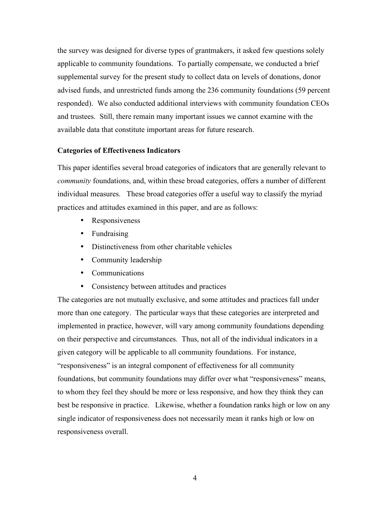the survey was designed for diverse types of grantmakers, it asked few questions solely applicable to community foundations. To partially compensate, we conducted a brief supplemental survey for the present study to collect data on levels of donations, donor advised funds, and unrestricted funds among the 236 community foundations (59 percent responded). We also conducted additional interviews with community foundation CEOs and trustees. Still, there remain many important issues we cannot examine with the available data that constitute important areas for future research.

#### **Categories of Effectiveness Indicators**

This paper identifies several broad categories of indicators that are generally relevant to *community* foundations, and, within these broad categories, offers a number of different individual measures. These broad categories offer a useful way to classify the myriad practices and attitudes examined in this paper, and are as follows:

- Responsiveness
- Fundraising
- Distinctiveness from other charitable vehicles
- Community leadership
- Communications
- Consistency between attitudes and practices

The categories are not mutually exclusive, and some attitudes and practices fall under more than one category. The particular ways that these categories are interpreted and implemented in practice, however, will vary among community foundations depending on their perspective and circumstances. Thus, not all of the individual indicators in a given category will be applicable to all community foundations. For instance, "responsiveness" is an integral component of effectiveness for all community foundations, but community foundations may differ over what "responsiveness" means, to whom they feel they should be more or less responsive, and how they think they can best be responsive in practice. Likewise, whether a foundation ranks high or low on any single indicator of responsiveness does not necessarily mean it ranks high or low on responsiveness overall.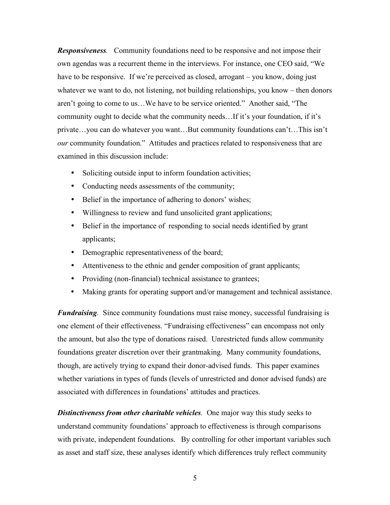*Responsiveness.* Community foundations need to be responsive and not impose their own agendas was a recurrent theme in the interviews. For instance, one CEO said, "We have to be responsive. If we're perceived as closed, arrogant – you know, doing just whatever we want to do, not listening, not building relationships, you know – then donors aren't going to come to us…We have to be service oriented." Another said, "The community ought to decide what the community needs…If it's your foundation, if it's private…you can do whatever you want…But community foundations can't…This isn't *our* community foundation." Attitudes and practices related to responsiveness that are examined in this discussion include:

- Soliciting outside input to inform foundation activities;
- Conducting needs assessments of the community;
- Belief in the importance of adhering to donors' wishes;
- Willingness to review and fund unsolicited grant applications;
- Belief in the importance of responding to social needs identified by grant applicants;
- Demographic representativeness of the board;
- Attentiveness to the ethnic and gender composition of grant applicants;
- Providing (non-financial) technical assistance to grantees;
- Making grants for operating support and/or management and technical assistance.

*Fundraising.* Since community foundations must raise money, successful fundraising is one element of their effectiveness. "Fundraising effectiveness" can encompass not only the amount, but also the type of donations raised. Unrestricted funds allow community foundations greater discretion over their grantmaking. Many community foundations, though, are actively trying to expand their donor-advised funds. This paper examines whether variations in types of funds (levels of unrestricted and donor advised funds) are associated with differences in foundations' attitudes and practices.

*Distinctiveness from other charitable vehicles.* One major way this study seeks to understand community foundations' approach to effectiveness is through comparisons with private, independent foundations. By controlling for other important variables such as asset and staff size, these analyses identify which differences truly reflect community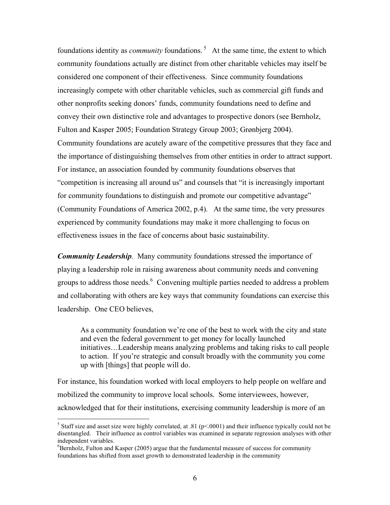foundations identity as *community* foundations. <sup>5</sup> At the same time, the extent to which community foundations actually are distinct from other charitable vehicles may itself be considered one component of their effectiveness. Since community foundations increasingly compete with other charitable vehicles, such as commercial gift funds and other nonprofits seeking donors' funds, community foundations need to define and convey their own distinctive role and advantages to prospective donors (see Bernholz, Fulton and Kasper 2005; Foundation Strategy Group 2003; Grønbjerg 2004). Community foundations are acutely aware of the competitive pressures that they face and the importance of distinguishing themselves from other entities in order to attract support. For instance, an association founded by community foundations observes that "competition is increasing all around us" and counsels that "it is increasingly important for community foundations to distinguish and promote our competitive advantage" (Community Foundations of America 2002, p.4). At the same time, the very pressures experienced by community foundations may make it more challenging to focus on effectiveness issues in the face of concerns about basic sustainability.

*Community Leadership.* Many community foundations stressed the importance of playing a leadership role in raising awareness about community needs and convening groups to address those needs. <sup>6</sup> Convening multiple parties needed to address a problem and collaborating with others are key ways that community foundations can exercise this leadership. One CEO believes,

As a community foundation we're one of the best to work with the city and state and even the federal government to get money for locally launched initiatives…Leadership means analyzing problems and taking risks to call people to action. If you're strategic and consult broadly with the community you come up with [things] that people will do.

For instance, his foundation worked with local employers to help people on welfare and mobilized the community to improve local schools. Some interviewees, however, acknowledged that for their institutions, exercising community leadership is more of an

<sup>&</sup>lt;sup>5</sup> Staff size and asset size were highly correlated, at .81 ( $p$ <.0001) and their influence typically could not be disentangled. Their influence as control variables was examined in separate regression analyses with other independent variables. <sup>6</sup>

 ${}^{6}$ Bernholz, Fulton and Kasper (2005) argue that the fundamental measure of success for community foundations has shifted from asset growth to demonstrated leadership in the community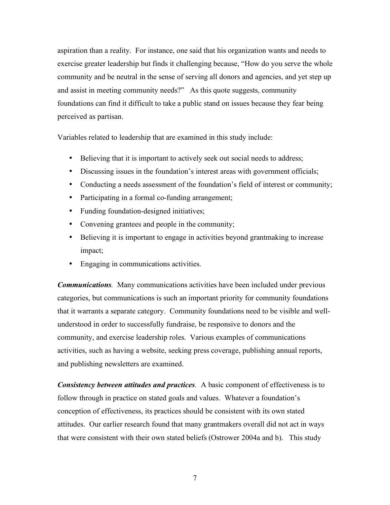aspiration than a reality. For instance, one said that his organization wants and needs to exercise greater leadership but finds it challenging because, "How do you serve the whole community and be neutral in the sense of serving all donors and agencies, and yet step up and assist in meeting community needs?" As this quote suggests, community foundations can find it difficult to take a public stand on issues because they fear being perceived as partisan.

Variables related to leadership that are examined in this study include:

- Believing that it is important to actively seek out social needs to address;
- Discussing issues in the foundation's interest areas with government officials;
- Conducting a needs assessment of the foundation's field of interest or community;
- Participating in a formal co-funding arrangement;
- Funding foundation-designed initiatives;
- Convening grantees and people in the community;
- Believing it is important to engage in activities beyond grantmaking to increase impact;
- Engaging in communications activities.

*Communications.* Many communications activities have been included under previous categories, but communications is such an important priority for community foundations that it warrants a separate category. Community foundations need to be visible and wellunderstood in order to successfully fundraise, be responsive to donors and the community, and exercise leadership roles. Various examples of communications activities, such as having a website, seeking press coverage, publishing annual reports, and publishing newsletters are examined.

*Consistency between attitudes and practices*. A basic component of effectiveness is to follow through in practice on stated goals and values. Whatever a foundation's conception of effectiveness, its practices should be consistent with its own stated attitudes. Our earlier research found that many grantmakers overall did not act in ways that were consistent with their own stated beliefs (Ostrower 2004a and b). This study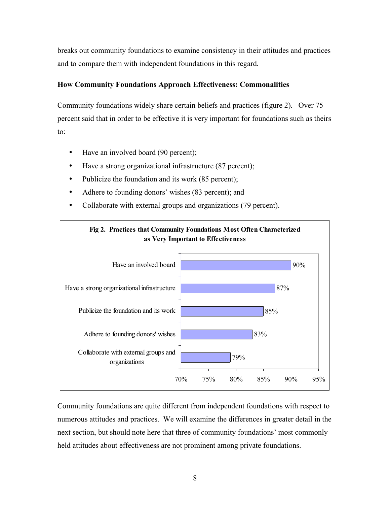breaks out community foundations to examine consistency in their attitudes and practices and to compare them with independent foundations in this regard.

#### **How Community Foundations Approach Effectiveness: Commonalities**

Community foundations widely share certain beliefs and practices (figure 2). Over 75 percent said that in order to be effective it is very important for foundations such as theirs to:

- Have an involved board (90 percent);
- Have a strong organizational infrastructure (87 percent);
- Publicize the foundation and its work (85 percent);
- Adhere to founding donors' wishes (83 percent); and
- Collaborate with external groups and organizations (79 percent).



Community foundations are quite different from independent foundations with respect to numerous attitudes and practices. We will examine the differences in greater detail in the next section, but should note here that three of community foundations' most commonly held attitudes about effectiveness are not prominent among private foundations.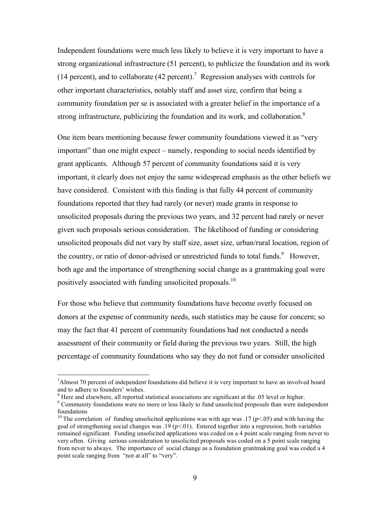Independent foundations were much less likely to believe it is very important to have a strong organizational infrastructure (51 percent), to publicize the foundation and its work (14 percent), and to collaborate (42 percent).<sup>7</sup> Regression analyses with controls for other important characteristics, notably staff and asset size, confirm that being a community foundation per se is associated with a greater belief in the importance of a strong infrastructure, publicizing the foundation and its work, and collaboration.<sup>8</sup>

One item bears mentioning because fewer community foundations viewed it as "very important" than one might expect – namely, responding to social needs identified by grant applicants. Although 57 percent of community foundations said it is very important, it clearly does not enjoy the same widespread emphasis as the other beliefs we have considered. Consistent with this finding is that fully 44 percent of community foundations reported that they had rarely (or never) made grants in response to unsolicited proposals during the previous two years, and 32 percent had rarely or never given such proposals serious consideration. The likelihood of funding or considering unsolicited proposals did not vary by staff size, asset size, urban/rural location, region of the country, or ratio of donor-advised or unrestricted funds to total funds.<sup>9</sup> However, both age and the importance of strengthening social change as a grantmaking goal were positively associated with funding unsolicited proposals.<sup>10</sup>

For those who believe that community foundations have become overly focused on donors at the expense of community needs, such statistics may be cause for concern; so may the fact that 41 percent of community foundations had not conducted a needs assessment of their community or field during the previous two years. Still, the high percentage of community foundations who say they do not fund or consider unsolicited

 $\frac{1}{7}$  $^7$ Almost 70 percent of independent foundations did believe it is very important to have an involved board

and to adhere to founders' wishes.<br><sup>8</sup> Here and elsewhere, all reported statistical associations are significant at the .05 level or higher.<br><sup>9</sup> Community foundations were no more or less likely to fund unsolicited proposa

<sup>&</sup>lt;sup>10</sup> The correlation of funding unsolicited applications was with age was .17 (p<.05) and with having the goal of strengthening social changes was  $.19$  (p<.01). Entered together into a regression, both variables remained significant. Funding unsolicited applications was coded on a 4 point scale ranging from never to very often. Giving serious consideration to unsolicited proposals was coded on a 5 point scale ranging from never to always. The importance of social change as a foundation grantmaking goal was coded a 4 point scale ranging from "not at all" to "very".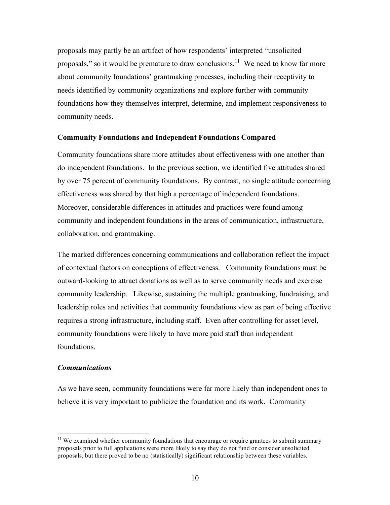proposals may partly be an artifact of how respondents' interpreted "unsolicited proposals," so it would be premature to draw conclusions.<sup>11</sup> We need to know far more about community foundations' grantmaking processes, including their receptivity to needs identified by community organizations and explore further with community foundations how they themselves interpret, determine, and implement responsiveness to community needs.

#### **Community Foundations and Independent Foundations Compared**

Community foundations share more attitudes about effectiveness with one another than do independent foundations. In the previous section, we identified five attitudes shared by over 75 percent of community foundations. By contrast, no single attitude concerning effectiveness was shared by that high a percentage of independent foundations. Moreover, considerable differences in attitudes and practices were found among community and independent foundations in the areas of communication, infrastructure, collaboration, and grantmaking.

The marked differences concerning communications and collaboration reflect the impact of contextual factors on conceptions of effectiveness. Community foundations must be outward-looking to attract donations as well as to serve community needs and exercise community leadership. Likewise, sustaining the multiple grantmaking, fundraising, and leadership roles and activities that community foundations view as part of being effective requires a strong infrastructure, including staff. Even after controlling for asset level, community foundations were likely to have more paid staff than independent foundations.

#### *Communications*

As we have seen, community foundations were far more likely than independent ones to believe it is very important to publicize the foundation and its work. Community

 $11$  We examined whether community foundations that encourage or require grantees to submit summary proposals prior to full applications were more likely to say they do not fund or consider unsolicited proposals, but there proved to be no (statistically) significant relationship between these variables.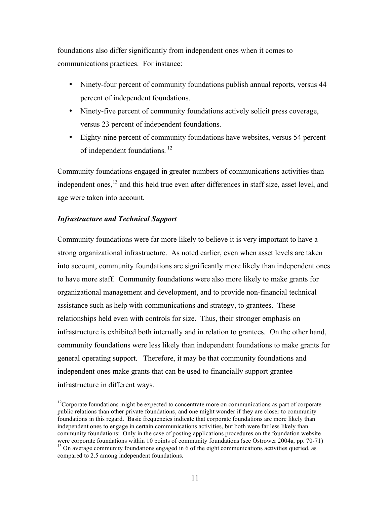foundations also differ significantly from independent ones when it comes to communications practices. For instance:

- Ninety-four percent of community foundations publish annual reports, versus 44 percent of independent foundations.
- Ninety-five percent of community foundations actively solicit press coverage, versus 23 percent of independent foundations.
- Eighty-nine percent of community foundations have websites, versus 54 percent of independent foundations.<sup>12</sup>

Community foundations engaged in greater numbers of communications activities than independent ones,<sup>13</sup> and this held true even after differences in staff size, asset level, and age were taken into account.

#### *Infrastructure and Technical Support*

Community foundations were far more likely to believe it is very important to have a strong organizational infrastructure. As noted earlier, even when asset levels are taken into account, community foundations are significantly more likely than independent ones to have more staff. Community foundations were also more likely to make grants for organizational management and development, and to provide non-financial technical assistance such as help with communications and strategy, to grantees. These relationships held even with controls for size. Thus, their stronger emphasis on infrastructure is exhibited both internally and in relation to grantees. On the other hand, community foundations were less likely than independent foundations to make grants for general operating support. Therefore, it may be that community foundations and independent ones make grants that can be used to financially support grantee infrastructure in different ways.

<sup>&</sup>lt;sup>12</sup>Corporate foundations might be expected to concentrate more on communications as part of corporate public relations than other private foundations, and one might wonder if they are closer to community foundations in this regard. Basic frequencies indicate that corporate foundations are more likely than independent ones to engage in certain communications activities, but both were far less likely than community foundations: Only in the case of posting applications procedures on the foundation website were corporate foundations within 10 points of community foundations (see Ostrower 2004a, pp. 70-71)<br><sup>13</sup> On average community foundations engaged in 6 of the eight communications activities queried, as compared to 2.5 among independent foundations.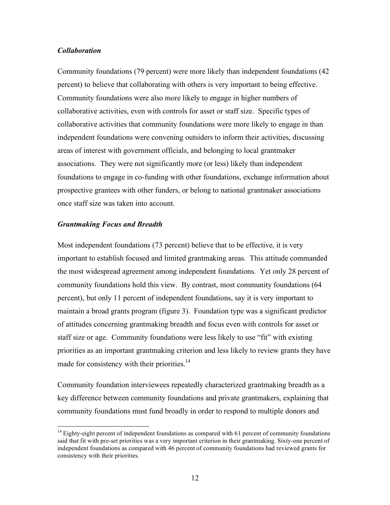#### *Collaboration*

Community foundations (79 percent) were more likely than independent foundations (42 percent) to believe that collaborating with others is very important to being effective. Community foundations were also more likely to engage in higher numbers of collaborative activities, even with controls for asset or staff size. Specific types of collaborative activities that community foundations were more likely to engage in than independent foundations were convening outsiders to inform their activities, discussing areas of interest with government officials, and belonging to local grantmaker associations. They were not significantly more (or less) likely than independent foundations to engage in co-funding with other foundations, exchange information about prospective grantees with other funders, or belong to national grantmaker associations once staff size was taken into account.

#### *Grantmaking Focus and Breadth*

Most independent foundations (73 percent) believe that to be effective, it is very important to establish focused and limited grantmaking areas. This attitude commanded the most widespread agreement among independent foundations. Yet only 28 percent of community foundations hold this view. By contrast, most community foundations (64 percent), but only 11 percent of independent foundations, say it is very important to maintain a broad grants program (figure 3). Foundation type was a significant predictor of attitudes concerning grantmaking breadth and focus even with controls for asset or staff size or age. Community foundations were less likely to use "fit" with existing priorities as an important grantmaking criterion and less likely to review grants they have made for consistency with their priorities.<sup>14</sup>

Community foundation interviewees repeatedly characterized grantmaking breadth as a key difference between community foundations and private grantmakers, explaining that community foundations must fund broadly in order to respond to multiple donors and

<sup>&</sup>lt;sup>14</sup> Eighty-eight percent of independent foundations as compared with 61 percent of community foundations said that fit with pre-set priorities was a very important criterion in their grantmaking. Sixty-one percent of independent foundations as compared with 46 percent of community foundations had reviewed grants for consistency with their priorities.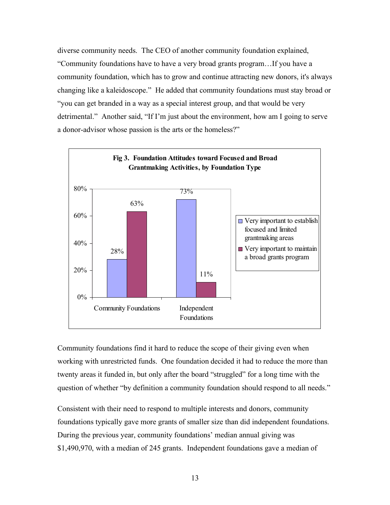diverse community needs. The CEO of another community foundation explained, "Community foundations have to have a very broad grants program…If you have a community foundation, which has to grow and continue attracting new donors, it's always changing like a kaleidoscope." He added that community foundations must stay broad or "you can get branded in a way as a special interest group, and that would be very detrimental." Another said, "If I'm just about the environment, how am I going to serve a donor-advisor whose passion is the arts or the homeless?"



Community foundations find it hard to reduce the scope of their giving even when working with unrestricted funds. One foundation decided it had to reduce the more than twenty areas it funded in, but only after the board "struggled" for a long time with the question of whether "by definition a community foundation should respond to all needs."

Consistent with their need to respond to multiple interests and donors, community foundations typically gave more grants of smaller size than did independent foundations. During the previous year, community foundations' median annual giving was \$1,490,970, with a median of 245 grants. Independent foundations gave a median of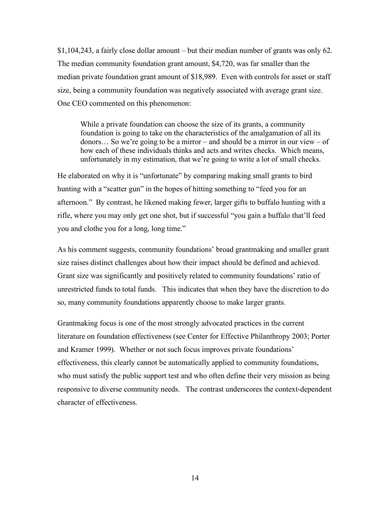\$1,104,243, a fairly close dollar amount – but their median number of grants was only 62. The median community foundation grant amount, \$4,720, was far smaller than the median private foundation grant amount of \$18,989. Even with controls for asset or staff size, being a community foundation was negatively associated with average grant size. One CEO commented on this phenomenon:

While a private foundation can choose the size of its grants, a community foundation is going to take on the characteristics of the amalgamation of all its donors… So we're going to be a mirror – and should be a mirror in our view – of how each of these individuals thinks and acts and writes checks. Which means, unfortunately in my estimation, that we're going to write a lot of small checks.

He elaborated on why it is "unfortunate" by comparing making small grants to bird hunting with a "scatter gun" in the hopes of hitting something to "feed you for an afternoon." By contrast, he likened making fewer, larger gifts to buffalo hunting with a rifle, where you may only get one shot, but if successful "you gain a buffalo that'll feed you and clothe you for a long, long time."

As his comment suggests, community foundations' broad grantmaking and smaller grant size raises distinct challenges about how their impact should be defined and achieved. Grant size was significantly and positively related to community foundations' ratio of unrestricted funds to total funds. This indicates that when they have the discretion to do so, many community foundations apparently choose to make larger grants.

Grantmaking focus is one of the most strongly advocated practices in the current literature on foundation effectiveness (see Center for Effective Philanthropy 2003; Porter and Kramer 1999). Whether or not such focus improves private foundations' effectiveness, this clearly cannot be automatically applied to community foundations, who must satisfy the public support test and who often define their very mission as being responsive to diverse community needs. The contrast underscores the context-dependent character of effectiveness.

14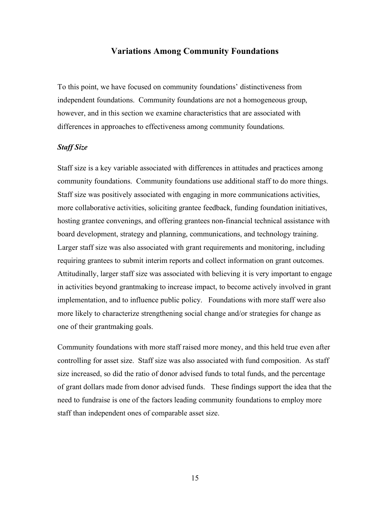#### **Variations Among Community Foundations**

To this point, we have focused on community foundations' distinctiveness from independent foundations. Community foundations are not a homogeneous group, however, and in this section we examine characteristics that are associated with differences in approaches to effectiveness among community foundations.

#### *Staff Size*

Staff size is a key variable associated with differences in attitudes and practices among community foundations. Community foundations use additional staff to do more things. Staff size was positively associated with engaging in more communications activities, more collaborative activities, soliciting grantee feedback, funding foundation initiatives, hosting grantee convenings, and offering grantees non-financial technical assistance with board development, strategy and planning, communications, and technology training. Larger staff size was also associated with grant requirements and monitoring, including requiring grantees to submit interim reports and collect information on grant outcomes. Attitudinally, larger staff size was associated with believing it is very important to engage in activities beyond grantmaking to increase impact, to become actively involved in grant implementation, and to influence public policy. Foundations with more staff were also more likely to characterize strengthening social change and/or strategies for change as one of their grantmaking goals.

Community foundations with more staff raised more money, and this held true even after controlling for asset size. Staff size was also associated with fund composition. As staff size increased, so did the ratio of donor advised funds to total funds, and the percentage of grant dollars made from donor advised funds. These findings support the idea that the need to fundraise is one of the factors leading community foundations to employ more staff than independent ones of comparable asset size.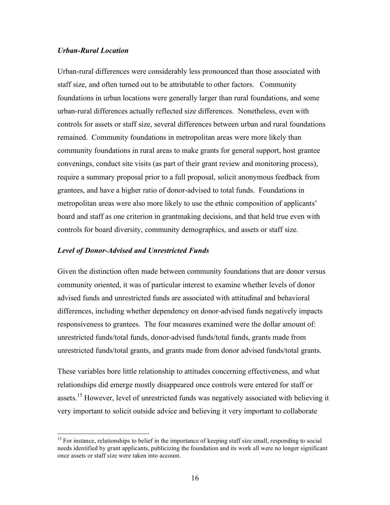#### *Urban-Rural Location*

Urban-rural differences were considerably less pronounced than those associated with staff size, and often turned out to be attributable to other factors. Community foundations in urban locations were generally larger than rural foundations, and some urban-rural differences actually reflected size differences. Nonetheless, even with controls for assets or staff size, several differences between urban and rural foundations remained. Community foundations in metropolitan areas were more likely than community foundations in rural areas to make grants for general support, host grantee convenings, conduct site visits (as part of their grant review and monitoring process), require a summary proposal prior to a full proposal, solicit anonymous feedback from grantees, and have a higher ratio of donor-advised to total funds. Foundations in metropolitan areas were also more likely to use the ethnic composition of applicants' board and staff as one criterion in grantmaking decisions, and that held true even with controls for board diversity, community demographics, and assets or staff size.

#### *Level of Donor-Advised and Unrestricted Funds*

Given the distinction often made between community foundations that are donor versus community oriented, it was of particular interest to examine whether levels of donor advised funds and unrestricted funds are associated with attitudinal and behavioral differences, including whether dependency on donor-advised funds negatively impacts responsiveness to grantees. The four measures examined were the dollar amount of: unrestricted funds/total funds, donor-advised funds/total funds, grants made from unrestricted funds/total grants, and grants made from donor advised funds/total grants.

These variables bore little relationship to attitudes concerning effectiveness, and what relationships did emerge mostly disappeared once controls were entered for staff or assets.<sup>15</sup> However, level of unrestricted funds was negatively associated with believing it very important to solicit outside advice and believing it very important to collaborate

<sup>&</sup>lt;sup>15</sup> For instance, relationships to belief in the importance of keeping staff size small, responding to social needs identified by grant applicants, publicizing the foundation and its work all were no longer significant once assets or staff size were taken into account.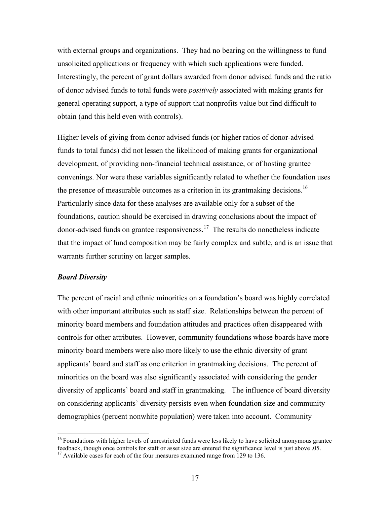with external groups and organizations. They had no bearing on the willingness to fund unsolicited applications or frequency with which such applications were funded. Interestingly, the percent of grant dollars awarded from donor advised funds and the ratio of donor advised funds to total funds were *positively* associated with making grants for general operating support, a type of support that nonprofits value but find difficult to obtain (and this held even with controls).

Higher levels of giving from donor advised funds (or higher ratios of donor-advised funds to total funds) did not lessen the likelihood of making grants for organizational development, of providing non-financial technical assistance, or of hosting grantee convenings. Nor were these variables significantly related to whether the foundation uses the presence of measurable outcomes as a criterion in its grantmaking decisions.<sup>16</sup> Particularly since data for these analyses are available only for a subset of the foundations, caution should be exercised in drawing conclusions about the impact of donor-advised funds on grantee responsiveness. <sup>17</sup> The results do nonetheless indicate that the impact of fund composition may be fairly complex and subtle, and is an issue that warrants further scrutiny on larger samples.

#### *Board Diversity*

The percent of racial and ethnic minorities on a foundation's board was highly correlated with other important attributes such as staff size. Relationships between the percent of minority board members and foundation attitudes and practices often disappeared with controls for other attributes. However, community foundations whose boards have more minority board members were also more likely to use the ethnic diversity of grant applicants' board and staff as one criterion in grantmaking decisions. The percent of minorities on the board was also significantly associated with considering the gender diversity of applicants' board and staff in grantmaking. The influence of board diversity on considering applicants' diversity persists even when foundation size and community demographics (percent nonwhite population) were taken into account. Community

<sup>&</sup>lt;sup>16</sup> Foundations with higher levels of unrestricted funds were less likely to have solicited anonymous grantee feedback, though once controls for staff or asset size are entered the significance level is just above .05. <sup>17</sup> Available cases for each of the four measures examined range from <sup>129</sup> to 136.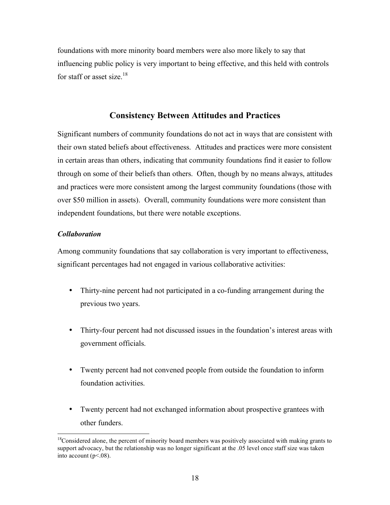foundations with more minority board members were also more likely to say that influencing public policy is very important to being effective, and this held with controls for staff or asset size.<sup>18</sup>

#### **Consistency Between Attitudes and Practices**

Significant numbers of community foundations do not act in ways that are consistent with their own stated beliefs about effectiveness. Attitudes and practices were more consistent in certain areas than others, indicating that community foundations find it easier to follow through on some of their beliefs than others. Often, though by no means always, attitudes and practices were more consistent among the largest community foundations (those with over \$50 million in assets). Overall, community foundations were more consistent than independent foundations, but there were notable exceptions.

#### *Collaboration*

Among community foundations that say collaboration is very important to effectiveness, significant percentages had not engaged in various collaborative activities:

- Thirty-nine percent had not participated in a co-funding arrangement during the previous two years.
- Thirty-four percent had not discussed issues in the foundation's interest areas with government officials.
- Twenty percent had not convened people from outside the foundation to inform foundation activities.
- Twenty percent had not exchanged information about prospective grantees with other funders.

<sup>&</sup>lt;sup>18</sup>Considered alone, the percent of minority board members was positively associated with making grants to support advocacy, but the relationship was no longer significant at the .05 level once staff size was taken into account  $(p<.08)$ .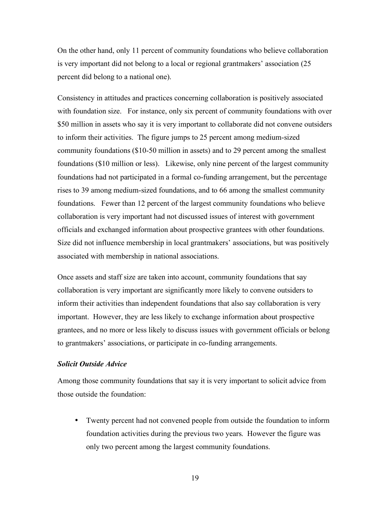On the other hand, only 11 percent of community foundations who believe collaboration is very important did not belong to a local or regional grantmakers' association (25 percent did belong to a national one).

Consistency in attitudes and practices concerning collaboration is positively associated with foundation size. For instance, only six percent of community foundations with over \$50 million in assets who say it is very important to collaborate did not convene outsiders to inform their activities. The figure jumps to 25 percent among medium-sized community foundations (\$10-50 million in assets) and to 29 percent among the smallest foundations (\$10 million or less). Likewise, only nine percent of the largest community foundations had not participated in a formal co-funding arrangement, but the percentage rises to 39 among medium-sized foundations, and to 66 among the smallest community foundations. Fewer than 12 percent of the largest community foundations who believe collaboration is very important had not discussed issues of interest with government officials and exchanged information about prospective grantees with other foundations. Size did not influence membership in local grantmakers' associations, but was positively associated with membership in national associations.

Once assets and staff size are taken into account, community foundations that say collaboration is very important are significantly more likely to convene outsiders to inform their activities than independent foundations that also say collaboration is very important. However, they are less likely to exchange information about prospective grantees, and no more or less likely to discuss issues with government officials or belong to grantmakers' associations, or participate in co-funding arrangements.

#### *Solicit Outside Advice*

Among those community foundations that say it is very important to solicit advice from those outside the foundation:

• Twenty percent had not convened people from outside the foundation to inform foundation activities during the previous two years. However the figure was only two percent among the largest community foundations.

19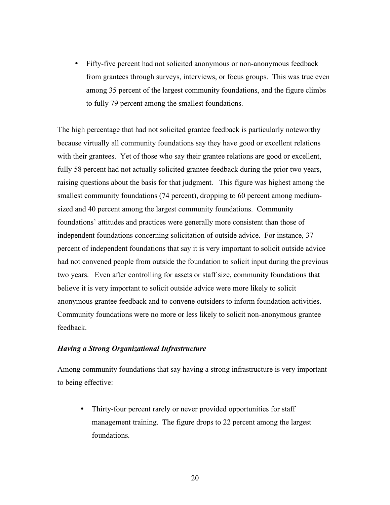• Fifty-five percent had not solicited anonymous or non-anonymous feedback from grantees through surveys, interviews, or focus groups. This was true even among 35 percent of the largest community foundations, and the figure climbs to fully 79 percent among the smallest foundations.

The high percentage that had not solicited grantee feedback is particularly noteworthy because virtually all community foundations say they have good or excellent relations with their grantees. Yet of those who say their grantee relations are good or excellent, fully 58 percent had not actually solicited grantee feedback during the prior two years, raising questions about the basis for that judgment. This figure was highest among the smallest community foundations (74 percent), dropping to 60 percent among mediumsized and 40 percent among the largest community foundations. Community foundations' attitudes and practices were generally more consistent than those of independent foundations concerning solicitation of outside advice. For instance, 37 percent of independent foundations that say it is very important to solicit outside advice had not convened people from outside the foundation to solicit input during the previous two years. Even after controlling for assets or staff size, community foundations that believe it is very important to solicit outside advice were more likely to solicit anonymous grantee feedback and to convene outsiders to inform foundation activities. Community foundations were no more or less likely to solicit non-anonymous grantee feedback.

#### *Having a Strong Organizational Infrastructure*

Among community foundations that say having a strong infrastructure is very important to being effective:

• Thirty-four percent rarely or never provided opportunities for staff management training. The figure drops to 22 percent among the largest foundations.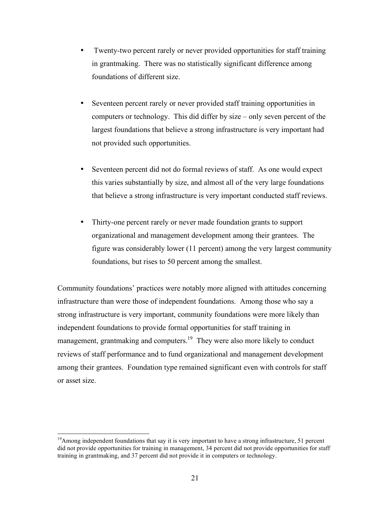- Twenty-two percent rarely or never provided opportunities for staff training in grantmaking. There was no statistically significant difference among foundations of different size.
- Seventeen percent rarely or never provided staff training opportunities in computers or technology. This did differ by size – only seven percent of the largest foundations that believe a strong infrastructure is very important had not provided such opportunities.
- Seventeen percent did not do formal reviews of staff. As one would expect this varies substantially by size, and almost all of the very large foundations that believe a strong infrastructure is very important conducted staff reviews.
- Thirty-one percent rarely or never made foundation grants to support organizational and management development among their grantees. The figure was considerably lower (11 percent) among the very largest community foundations, but rises to 50 percent among the smallest.

Community foundations' practices were notably more aligned with attitudes concerning infrastructure than were those of independent foundations. Among those who say a strong infrastructure is very important, community foundations were more likely than independent foundations to provide formal opportunities for staff training in management, grantmaking and computers.<sup>19</sup> They were also more likely to conduct reviews of staff performance and to fund organizational and management development among their grantees. Foundation type remained significant even with controls for staff or asset size.

<sup>&</sup>lt;sup>19</sup> Among independent foundations that say it is very important to have a strong infrastructure, 51 percent did not provide opportunities for training in management, 34 percent did not provide opportunities for staff training in grantmaking, and 37 percent did not provide it in computers or technology.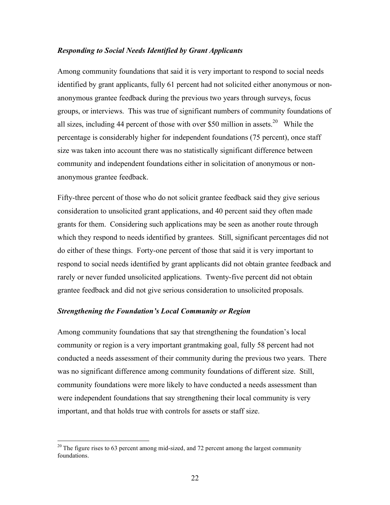#### *Responding to Social Needs Identified by Grant Applicants*

Among community foundations that said it is very important to respond to social needs identified by grant applicants, fully 61 percent had not solicited either anonymous or nonanonymous grantee feedback during the previous two years through surveys, focus groups, or interviews. This was true of significant numbers of community foundations of all sizes, including 44 percent of those with over \$50 million in assets.<sup>20</sup> While the percentage is considerably higher for independent foundations (75 percent), once staff size was taken into account there was no statistically significant difference between community and independent foundations either in solicitation of anonymous or nonanonymous grantee feedback.

Fifty-three percent of those who do not solicit grantee feedback said they give serious consideration to unsolicited grant applications, and 40 percent said they often made grants for them. Considering such applications may be seen as another route through which they respond to needs identified by grantees. Still, significant percentages did not do either of these things. Forty-one percent of those that said it is very important to respond to social needs identified by grant applicants did not obtain grantee feedback and rarely or never funded unsolicited applications. Twenty-five percent did not obtain grantee feedback and did not give serious consideration to unsolicited proposals.

#### *Strengthening the Foundation's Local Community or Region*

Among community foundations that say that strengthening the foundation's local community or region is a very important grantmaking goal, fully 58 percent had not conducted a needs assessment of their community during the previous two years. There was no significant difference among community foundations of different size. Still, community foundations were more likely to have conducted a needs assessment than were independent foundations that say strengthening their local community is very important, and that holds true with controls for assets or staff size.

 $20$  The figure rises to 63 percent among mid-sized, and 72 percent among the largest community foundations.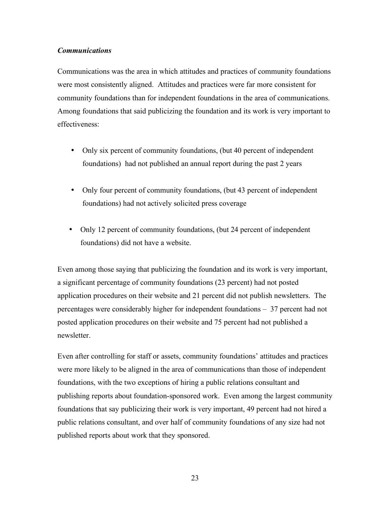#### *Communications*

Communications was the area in which attitudes and practices of community foundations were most consistently aligned. Attitudes and practices were far more consistent for community foundations than for independent foundations in the area of communications. Among foundations that said publicizing the foundation and its work is very important to effectiveness:

- Only six percent of community foundations, (but 40 percent of independent foundations) had not published an annual report during the past 2 years
- Only four percent of community foundations, (but 43 percent of independent foundations) had not actively solicited press coverage
- Only 12 percent of community foundations, (but 24 percent of independent foundations) did not have a website.

Even among those saying that publicizing the foundation and its work is very important, a significant percentage of community foundations (23 percent) had not posted application procedures on their website and 21 percent did not publish newsletters. The percentages were considerably higher for independent foundations – 37 percent had not posted application procedures on their website and 75 percent had not published a newsletter.

Even after controlling for staff or assets, community foundations' attitudes and practices were more likely to be aligned in the area of communications than those of independent foundations, with the two exceptions of hiring a public relations consultant and publishing reports about foundation-sponsored work. Even among the largest community foundations that say publicizing their work is very important, 49 percent had not hired a public relations consultant, and over half of community foundations of any size had not published reports about work that they sponsored.

23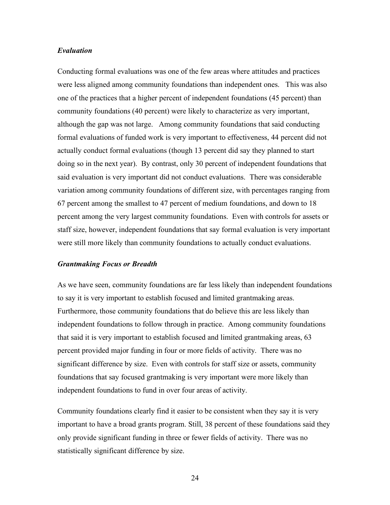#### *Evaluation*

Conducting formal evaluations was one of the few areas where attitudes and practices were less aligned among community foundations than independent ones. This was also one of the practices that a higher percent of independent foundations (45 percent) than community foundations (40 percent) were likely to characterize as very important, although the gap was not large. Among community foundations that said conducting formal evaluations of funded work is very important to effectiveness, 44 percent did not actually conduct formal evaluations (though 13 percent did say they planned to start doing so in the next year). By contrast, only 30 percent of independent foundations that said evaluation is very important did not conduct evaluations. There was considerable variation among community foundations of different size, with percentages ranging from 67 percent among the smallest to 47 percent of medium foundations, and down to 18 percent among the very largest community foundations. Even with controls for assets or staff size, however, independent foundations that say formal evaluation is very important were still more likely than community foundations to actually conduct evaluations.

#### *Grantmaking Focus or Breadth*

As we have seen, community foundations are far less likely than independent foundations to say it is very important to establish focused and limited grantmaking areas. Furthermore, those community foundations that do believe this are less likely than independent foundations to follow through in practice. Among community foundations that said it is very important to establish focused and limited grantmaking areas, 63 percent provided major funding in four or more fields of activity. There was no significant difference by size. Even with controls for staff size or assets, community foundations that say focused grantmaking is very important were more likely than independent foundations to fund in over four areas of activity.

Community foundations clearly find it easier to be consistent when they say it is very important to have a broad grants program. Still, 38 percent of these foundations said they only provide significant funding in three or fewer fields of activity. There was no statistically significant difference by size.

24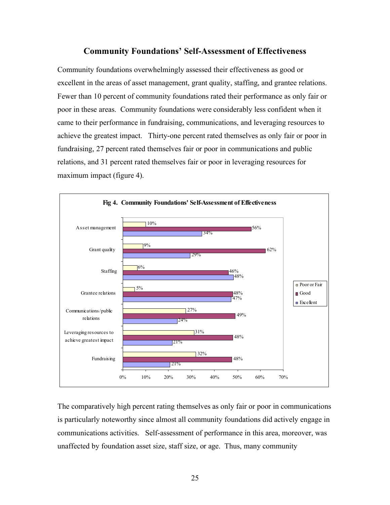#### **Community Foundations' Self-Assessment of Effectiveness**

Community foundations overwhelmingly assessed their effectiveness as good or excellent in the areas of asset management, grant quality, staffing, and grantee relations. Fewer than 10 percent of community foundations rated their performance as only fair or poor in these areas. Community foundations were considerably less confident when it came to their performance in fundraising, communications, and leveraging resources to achieve the greatest impact. Thirty-one percent rated themselves as only fair or poor in fundraising, 27 percent rated themselves fair or poor in communications and public relations, and 31 percent rated themselves fair or poor in leveraging resources for maximum impact (figure 4).



The comparatively high percent rating themselves as only fair or poor in communications is particularly noteworthy since almost all community foundations did actively engage in communications activities. Self-assessment of performance in this area, moreover, was unaffected by foundation asset size, staff size, or age. Thus, many community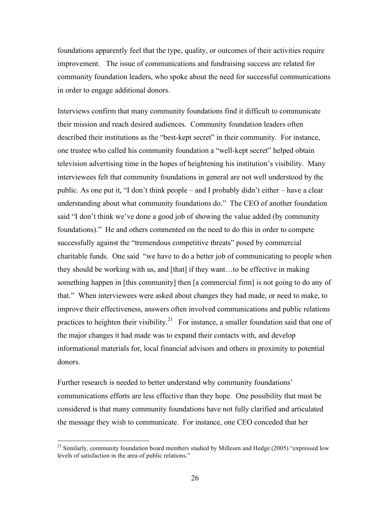foundations apparently feel that the type, quality, or outcomes of their activities require improvement. The issue of communications and fundraising success are related for community foundation leaders, who spoke about the need for successful communications in order to engage additional donors.

Interviews confirm that many community foundations find it difficult to communicate their mission and reach desired audiences. Community foundation leaders often described their institutions as the "best-kept secret" in their community. For instance, one trustee who called his community foundation a "well-kept secret" helped obtain television advertising time in the hopes of heightening his institution's visibility. Many interviewees felt that community foundations in general are not well understood by the public. As one put it, "I don't think people – and I probably didn't either – have a clear understanding about what community foundations do." The CEO of another foundation said "I don't think we've done a good job of showing the value added (by community foundations)." He and others commented on the need to do this in order to compete successfully against the "tremendous competitive threats" posed by commercial charitable funds. One said "we have to do a better job of communicating to people when they should be working with us, and [that] if they want…to be effective in making something happen in [this community] then [a commercial firm] is not going to do any of that." When interviewees were asked about changes they had made, or need to make, to improve their effectiveness, answers often involved communications and public relations practices to heighten their visibility.<sup>21</sup> For instance, a smaller foundation said that one of the major changes it had made was to expand their contacts with, and develop informational materials for, local financial advisors and others in proximity to potential donors.

Further research is needed to better understand why community foundations' communications efforts are less effective than they hope. One possibility that must be considered is that many community foundations have not fully clarified and articulated the message they wish to communicate. For instance, one CEO conceded that her

 $21$  Similarly, community foundation board members studied by Millesen and Hedge (2005) "expressed low levels of satisfaction in the area of public relations."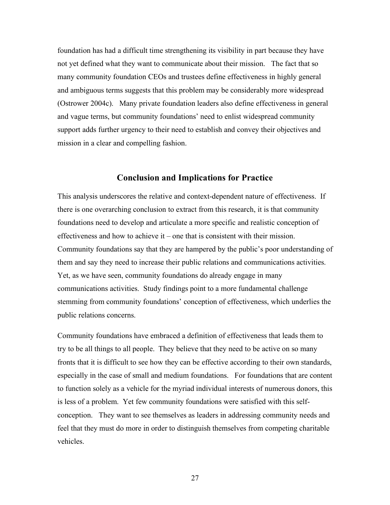foundation has had a difficult time strengthening its visibility in part because they have not yet defined what they want to communicate about their mission. The fact that so many community foundation CEOs and trustees define effectiveness in highly general and ambiguous terms suggests that this problem may be considerably more widespread (Ostrower 2004c). Many private foundation leaders also define effectiveness in general and vague terms, but community foundations' need to enlist widespread community support adds further urgency to their need to establish and convey their objectives and mission in a clear and compelling fashion.

#### **Conclusion and Implications for Practice**

This analysis underscores the relative and context-dependent nature of effectiveness. If there is one overarching conclusion to extract from this research, it is that community foundations need to develop and articulate a more specific and realistic conception of effectiveness and how to achieve it – one that is consistent with their mission. Community foundations say that they are hampered by the public's poor understanding of them and say they need to increase their public relations and communications activities. Yet, as we have seen, community foundations do already engage in many communications activities. Study findings point to a more fundamental challenge stemming from community foundations' conception of effectiveness, which underlies the public relations concerns.

Community foundations have embraced a definition of effectiveness that leads them to try to be all things to all people. They believe that they need to be active on so many fronts that it is difficult to see how they can be effective according to their own standards, especially in the case of small and medium foundations. For foundations that are content to function solely as a vehicle for the myriad individual interests of numerous donors, this is less of a problem. Yet few community foundations were satisfied with this selfconception. They want to see themselves as leaders in addressing community needs and feel that they must do more in order to distinguish themselves from competing charitable vehicles.

27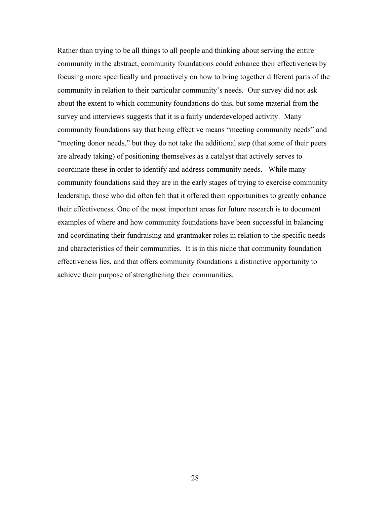Rather than trying to be all things to all people and thinking about serving the entire community in the abstract, community foundations could enhance their effectiveness by focusing more specifically and proactively on how to bring together different parts of the community in relation to their particular community's needs. Our survey did not ask about the extent to which community foundations do this, but some material from the survey and interviews suggests that it is a fairly underdeveloped activity. Many community foundations say that being effective means "meeting community needs" and "meeting donor needs," but they do not take the additional step (that some of their peers are already taking) of positioning themselves as a catalyst that actively serves to coordinate these in order to identify and address community needs. While many community foundations said they are in the early stages of trying to exercise community leadership, those who did often felt that it offered them opportunities to greatly enhance their effectiveness. One of the most important areas for future research is to document examples of where and how community foundations have been successful in balancing and coordinating their fundraising and grantmaker roles in relation to the specific needs and characteristics of their communities. It is in this niche that community foundation effectiveness lies, and that offers community foundations a distinctive opportunity to achieve their purpose of strengthening their communities.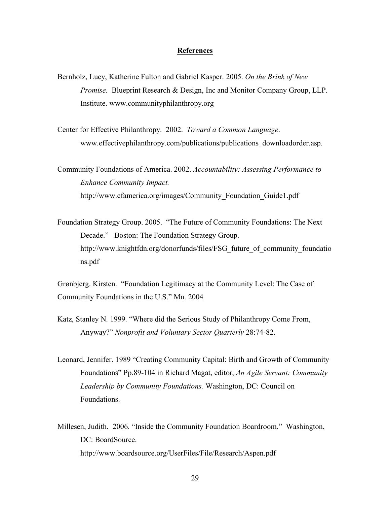#### **References**

- Bernholz, Lucy, Katherine Fulton and Gabriel Kasper. 2005. *On the Brink of New Promise.* Blueprint Research & Design, Inc and Monitor Company Group, LLP. Institute. www.communityphilanthropy.org
- Center for Effective Philanthropy. 2002. *Toward a Common Language*. www.effectivephilanthropy.com/publications/publications\_downloadorder.asp.

Community Foundations of America. 2002. *Accountability: Assessing Performance to Enhance Community Impact.* http://www.cfamerica.org/images/Community\_Foundation\_Guide1.pdf

Foundation Strategy Group. 2005. "The Future of Community Foundations: The Next Decade." Boston: The Foundation Strategy Group. http://www.knightfdn.org/donorfunds/files/FSG\_future\_of\_community\_foundatio ns.pdf

Grønbjerg. Kirsten. "Foundation Legitimacy at the Community Level: The Case of Community Foundations in the U.S." Mn. 2004

Katz, Stanley N. 1999. "Where did the Serious Study of Philanthropy Come From, Anyway?" *Nonprofit and Voluntary Sector Quarterly* 28:74-82.

Leonard, Jennifer. 1989 "Creating Community Capital: Birth and Growth of Community Foundations" Pp.89-104 in Richard Magat, editor, *An Agile Servant: Community Leadership by Community Foundations.* Washington, DC: Council on Foundations.

Millesen, Judith. 2006. "Inside the Community Foundation Boardroom." Washington, DC: BoardSource http://www.boardsource.org/UserFiles/File/Research/Aspen.pdf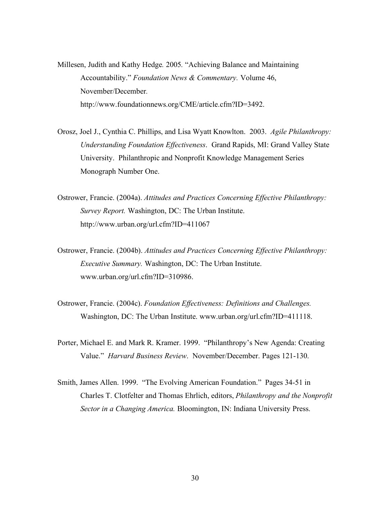- Millesen, Judith and Kathy Hedge*.* 2005*.* "Achieving Balance and Maintaining Accountability." *Foundation News & Commentary.* Volume 46, November/December*.* http://www.foundationnews.org/CME/article.cfm?ID=3492.
- Orosz, Joel J., Cynthia C. Phillips, and Lisa Wyatt Knowlton. 2003. *Agile Philanthropy: Understanding Foundation Effectiveness*. Grand Rapids, MI: Grand Valley State University. Philanthropic and Nonprofit Knowledge Management Series Monograph Number One.
- Ostrower, Francie. (2004a). *Attitudes and Practices Concerning Effective Philanthropy: Survey Report.* Washington, DC: The Urban Institute. http://www.urban.org/url.cfm?ID=411067
- Ostrower, Francie. (2004b). *Attitudes and Practices Concerning Effective Philanthropy: Executive Summary.* Washington, DC: The Urban Institute. www.urban.org/url.cfm?ID=310986.
- Ostrower, Francie. (2004c). *Foundation Effectiveness: Definitions and Challenges.* Washington, DC: The Urban Institute. www.urban.org/url.cfm?ID=411118.
- Porter, Michael E. and Mark R. Kramer. 1999. "Philanthropy's New Agenda: Creating Value." *Harvard Business Review*. November/December. Pages 121-130.
- Smith, James Allen. 1999. "The Evolving American Foundation." Pages 34-51 in Charles T. Clotfelter and Thomas Ehrlich, editors, *Philanthropy and the Nonprofit Sector in a Changing America.* Bloomington, IN: Indiana University Press.